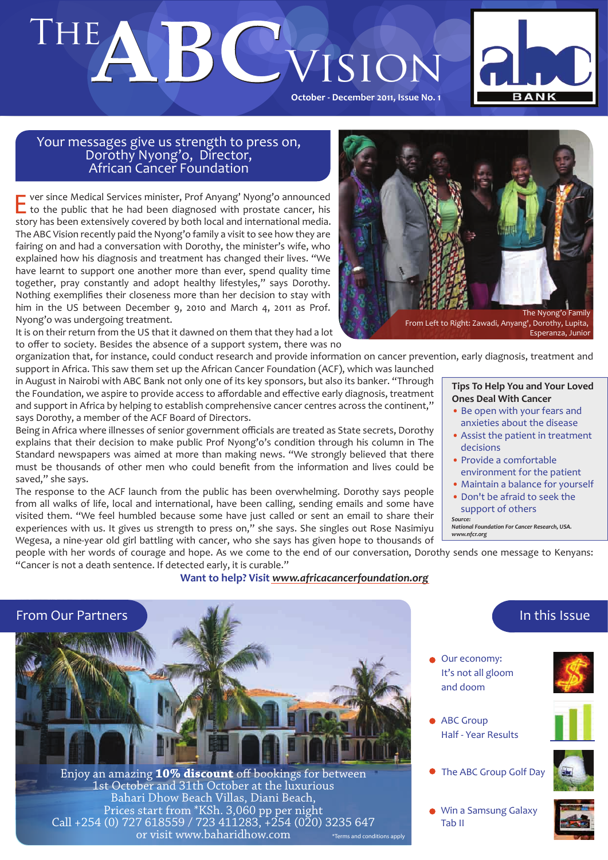# THE Vision



**October - December 2011, Issue No. 1** 

# Your messages give us strength to press on, Dorothy Nyong'o, Director, African Cancer Foundation

ver since Medical Services minister, Prof Anyang' Nyong'o announced to the public that he had been diagnosed with prostate cancer, his story has been extensively covered by both local and international media. The ABC Vision recently paid the Nyong'o family a visit to see how they are fairing on and had a conversation with Dorothy, the minister's wife, who explained how his diagnosis and treatment has changed their lives. "We have learnt to support one another more than ever, spend quality time together, pray constantly and adopt healthy lifestyles," says Dorothy. Nothing exemplifies their closeness more than her decision to stay with him in the US between December 9, 2010 and March 4, 2011 as Prof. Nyong'o was undergoing treatment.

It is on their return from the US that it dawned on them that they had a lot to offer to society. Besides the absence of a support system, there was no

organization that, for instance, could conduct research and provide information on cancer prevention, early diagnosis, treatment and support in Africa. This saw them set up the African Cancer Foundation (ACF), which was launched

in August in Nairobi with ABC Bank not only one of its key sponsors, but also its banker. "Through the Foundation, we aspire to provide access to affordable and effective early diagnosis, treatment and support in Africa by helping to establish comprehensive cancer centres across the continent," says Dorothy, a member of the ACF Board of Directors.

Being in Africa where illnesses of senior government officials are treated as State secrets, Dorothy explains that their decision to make public Prof Nyong'o's condition through his column in The Standard newspapers was aimed at more than making news. "We strongly believed that there must be thousands of other men who could benefit from the information and lives could be saved," she says.

The response to the ACF launch from the public has been overwhelming. Dorothy says people from all walks of life, local and international, have been calling, sending emails and some have visited them. "We feel humbled because some have just called or sent an email to share their experiences with us. It gives us strength to press on," she says. She singles out Rose Nasimiyu Wegesa, a nine-year old girl battling with cancer, who she says has given hope to thousands of

people with her words of courage and hope. As we come to the end of our conversation, Dorothy sends one message to Kenyans: "Cancer is not a death sentence. If detected early, it is curable."

**Want to help? Visit** *www.africacancerfoundation.org*



The Nyong'o Family From Left to Right: Zawadi, Anyang', Dorothy, Lupita,

Esperanza, Junior

#### **Tips To Help You and Your Loved Ones Deal With Cancer**

- Be open with your fears and anxieties about the disease
- Assist the patient in treatment decisions
- Provide a comfortable environment for the patient
- Maintain a balance for yourself
- Don't be afraid to seek the support of others

*Source: National Foundation For Cancer Research, USA. www.nfcr.org*



In this Issue

ABC Group Half - Year Results

Our economy: It's not all gloom and doom

**The ABC Group Golf Day** 



Win a Samsung Galaxy Tab II

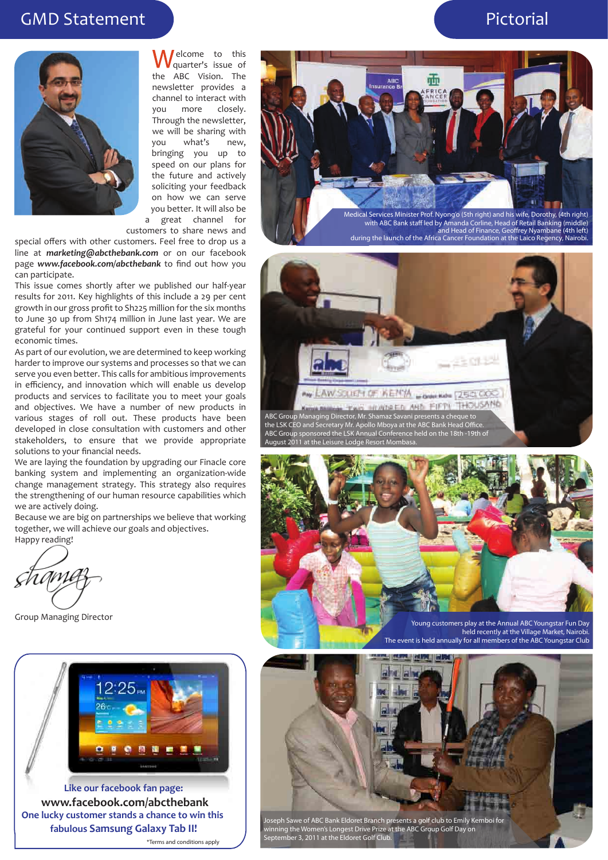# GMD Statement Pictorial



elcome to this quarter's issue of the ABC Vision. The newsletter provides a channel to interact with you more closely. Through the newsletter, we will be sharing with you what's new, bringing you up to speed on our plans for the future and actively soliciting your feedback on how we can serve you better. It will also be a great channel for

customers to share news and

special offers with other customers. Feel free to drop us a line at *marketing@abcthebank.com* or on our facebook page *www.facebook.com/abcthebank* to find out how you can participate.

This issue comes shortly after we published our half-year results for 2011. Key highlights of this include a 29 per cent growth in our gross profit to Sh225 million for the six months to June 30 up from Sh174 million in June last year. We are grateful for your continued support even in these tough economic times.

As part of our evolution, we are determined to keep working harder to improve our systems and processes so that we can serve you even better. This calls for ambitious improvements in efficiency, and innovation which will enable us develop products and services to facilitate you to meet your goals and objectives. We have a number of new products in various stages of roll out. These products have been developed in close consultation with customers and other stakeholders, to ensure that we provide appropriate solutions to your financial needs.

We are laying the foundation by upgrading our Finacle core banking system and implementing an organization-wide change management strategy. This strategy also requires the strengthening of our human resource capabilities which we are actively doing.

Because we are big on partnerships we believe that working together, we will achieve our goals and objectives. Happy reading!

Group Managing Director



**Like our facebook fan page: www.facebook.com/abcthebank One lucky customer stands a chance to win this fabulous Samsung Galaxy Tab II!** \*Terms and conditions apply



with ABC Bank staff led by Amanda Corline, Head of Retail Banking (middle)<br>and Head of Finance, Geoffrey Nyambane (4th left)<br>during the launch of the Africa Cancer Foundation at the Laico Regency, Nairobi.





held recently at the Village Market, Nairobi. The event is held annually for all members of the ABC Youngstar Club

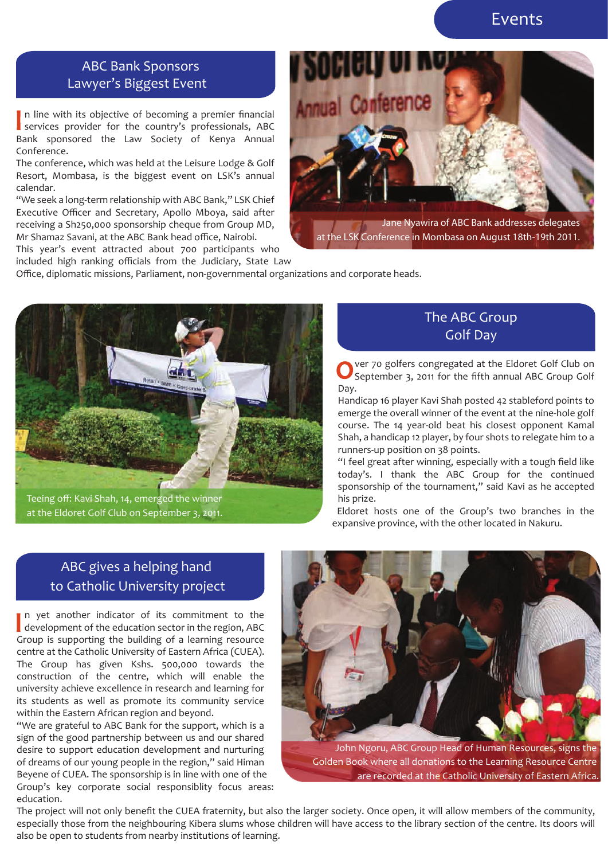# Events

# ABC Bank Sponsors Lawyer's Biggest Event

n line with its objective of becoming a premier financial services provider for the country's professionals, ABC Bank sponsored the Law Society of Kenya Annual Conference.

The conference, which was held at the Leisure Lodge & Golf Resort, Mombasa, is the biggest event on LSK's annual calendar.

"We seek a long-term relationship with ABC Bank," LSK Chief Executive Officer and Secretary, Apollo Mboya, said after receiving a Sh250,000 sponsorship cheque from Group MD, Mr Shamaz Savani, at the ABC Bank head office, Nairobi.

This year's event attracted about 700 participants who included high ranking officials from the Judiciary, State Law



Jane Nyawira of ABC Bank addresses delegates at the LSK Conference in Mombasa on August 18th-19th 2011.

Office, diplomatic missions, Parliament, non-governmental organizations and corporate heads.



Teeing off: Kavi Shah, 14, emerged the winner at the Eldoret Golf Club on September 3, 2011.

## The ABC Group Golf Day

ver 70 golfers congregated at the Eldoret Golf Club on September 3, 2011 for the fifth annual ABC Group Golf Day.

Handicap 16 player Kavi Shah posted 42 stableford points to emerge the overall winner of the event at the nine-hole golf course. The 14 year-old beat his closest opponent Kamal Shah, a handicap 12 player, by four shots to relegate him to a runners-up position on 38 points.

"I feel great after winning, especially with a tough field like today's. I thank the ABC Group for the continued sponsorship of the tournament," said Kavi as he accepted his prize.

Eldoret hosts one of the Group's two branches in the expansive province, with the other located in Nakuru.

# ABC gives a helping hand to Catholic University project

n yet another indicator of its commitment to the development of the education sector in the region, ABC Group is supporting the building of a learning resource centre at the Catholic University of Eastern Africa (CUEA). The Group has given Kshs. 500,000 towards the construction of the centre, which will enable the university achieve excellence in research and learning for its students as well as promote its community service within the Eastern African region and beyond.

"We are grateful to ABC Bank for the support, which is a sign of the good partnership between us and our shared desire to support education development and nurturing of dreams of our young people in the region," said Himan Beyene of CUEA. The sponsorship is in line with one of the Group's key corporate social responsiblity focus areas: education.



John Ngoru, ABC Group Head of Human Resources, signs the Golden Book where all donations to the Learning Resource Centre are recorded at the Catholic University of Eastern Africa.

The project will not only benefit the CUEA fraternity, but also the larger society. Once open, it will allow members of the community, especially those from the neighbouring Kibera slums whose children will have access to the library section of the centre. Its doors will also be open to students from nearby institutions of learning.